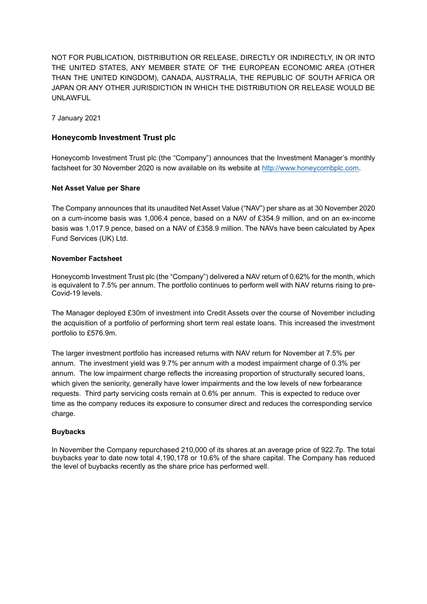NOT FOR PUBLICATION, DISTRIBUTION OR RELEASE, DIRECTLY OR INDIRECTLY, IN OR INTO THE UNITED STATES, ANY MEMBER STATE OF THE EUROPEAN ECONOMIC AREA (OTHER THAN THE UNITED KINGDOM), CANADA, AUSTRALIA, THE REPUBLIC OF SOUTH AFRICA OR JAPAN OR ANY OTHER JURISDICTION IN WHICH THE DISTRIBUTION OR RELEASE WOULD BE UNLAWFUL

7 January 2021

# **Honeycomb Investment Trust plc**

Honeycomb Investment Trust plc (the "Company") announces that the Investment Manager's monthly factsheet for 30 November 2020 is now available on its website at [http://www.honeycombplc.com.](http://www.honeycombplc.com/documents/)

## **Net Asset Value per Share**

The Company announces that its unaudited Net Asset Value ("NAV") per share as at 30 November 2020 on a cum-income basis was 1,006.4 pence, based on a NAV of £354.9 million, and on an ex-income basis was 1,017.9 pence, based on a NAV of £358.9 million. The NAVs have been calculated by Apex Fund Services (UK) Ltd.

## **November Factsheet**

Honeycomb Investment Trust plc (the "Company") delivered a NAV return of 0.62% for the month, which is equivalent to 7.5% per annum. The portfolio continues to perform well with NAV returns rising to pre-Covid-19 levels.

The Manager deployed £30m of investment into Credit Assets over the course of November including the acquisition of a portfolio of performing short term real estate loans. This increased the investment portfolio to £576.9m.

The larger investment portfolio has increased returns with NAV return for November at 7.5% per annum. The investment yield was 9.7% per annum with a modest impairment charge of 0.3% per annum. The low impairment charge reflects the increasing proportion of structurally secured loans, which given the seniority, generally have lower impairments and the low levels of new forbearance requests. Third party servicing costs remain at 0.6% per annum. This is expected to reduce over time as the company reduces its exposure to consumer direct and reduces the corresponding service charge.

## **Buybacks**

In November the Company repurchased 210,000 of its shares at an average price of 922.7p. The total buybacks year to date now total 4,190,178 or 10.6% of the share capital. The Company has reduced the level of buybacks recently as the share price has performed well.